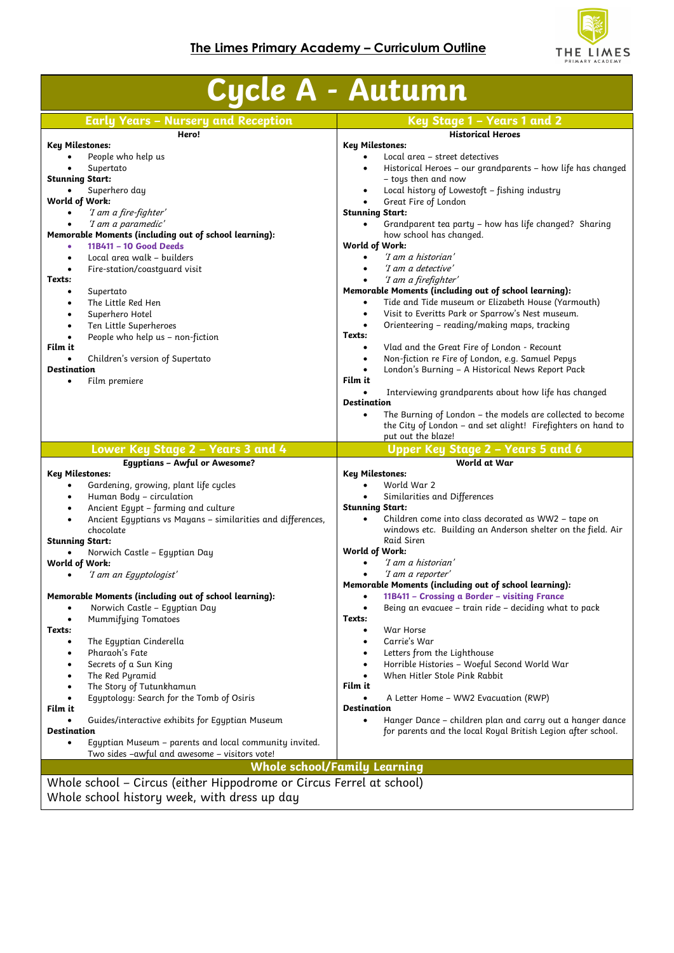

| <b>Early Years - Nursery and Reception</b>                                                                                            | Key Stage 1 - Years 1 and 2                                                                                                                                                              |
|---------------------------------------------------------------------------------------------------------------------------------------|------------------------------------------------------------------------------------------------------------------------------------------------------------------------------------------|
| Hero!                                                                                                                                 | <b>Historical Heroes</b>                                                                                                                                                                 |
| <b>Key Milestones:</b>                                                                                                                | <b>Key Milestones:</b>                                                                                                                                                                   |
| People who help us                                                                                                                    | Local area – street detectives<br>$\bullet$                                                                                                                                              |
| Supertato<br>$\bullet$                                                                                                                | Historical Heroes - our grandparents - how life has changed<br>$\bullet$                                                                                                                 |
| <b>Stunning Start:</b>                                                                                                                | - toys then and now                                                                                                                                                                      |
| Superhero day<br>$\bullet$                                                                                                            | Local history of Lowestoft - fishing industry<br>$\bullet$                                                                                                                               |
| World of Work:                                                                                                                        | Great Fire of London<br>$\bullet$                                                                                                                                                        |
| 'I am a fire-fighter'<br>$\bullet$                                                                                                    | <b>Stunning Start:</b>                                                                                                                                                                   |
| 'I am a paramedic'                                                                                                                    | Grandparent tea party - how has life changed? Sharing<br>$\bullet$                                                                                                                       |
| Memorable Moments (including out of school learning):                                                                                 | how school has changed.                                                                                                                                                                  |
| 11B411 - 10 Good Deeds                                                                                                                | World of Work:                                                                                                                                                                           |
| Local area walk - builders<br>$\bullet$                                                                                               | 'I am a historian'<br>$\bullet$                                                                                                                                                          |
| Fire-station/coastguard visit<br>$\bullet$                                                                                            | 'I am a detective'                                                                                                                                                                       |
| Texts:                                                                                                                                | 'I am a firefighter'                                                                                                                                                                     |
| Supertato<br>٠                                                                                                                        | Memorable Moments (including out of school learning):                                                                                                                                    |
| The Little Red Hen<br>$\bullet$                                                                                                       | Tide and Tide museum or Elizabeth House (Yarmouth)<br>$\bullet$                                                                                                                          |
| Superhero Hotel<br>$\bullet$                                                                                                          | Visit to Everitts Park or Sparrow's Nest museum.<br>$\bullet$                                                                                                                            |
| Ten Little Superheroes<br>$\bullet$                                                                                                   | Orienteering - reading/making maps, tracking<br>$\bullet$                                                                                                                                |
| People who help us - non-fiction<br>$\bullet$                                                                                         | Texts:                                                                                                                                                                                   |
| Film it                                                                                                                               | Vlad and the Great Fire of London - Recount<br>$\bullet$                                                                                                                                 |
| Children's version of Supertato<br>$\bullet$                                                                                          | Non-fiction re Fire of London, e.g. Samuel Pepys<br>$\bullet$                                                                                                                            |
| <b>Destination</b>                                                                                                                    | London's Burning - A Historical News Report Pack<br>$\bullet$                                                                                                                            |
| Film premiere<br>$\bullet$                                                                                                            | Film it                                                                                                                                                                                  |
|                                                                                                                                       | Interviewing grandparents about how life has changed                                                                                                                                     |
|                                                                                                                                       | <b>Destination</b>                                                                                                                                                                       |
|                                                                                                                                       | The Burning of London - the models are collected to become<br>$\bullet$                                                                                                                  |
|                                                                                                                                       | the City of London - and set alight! Firefighters on hand to                                                                                                                             |
|                                                                                                                                       | put out the blaze!                                                                                                                                                                       |
| Lower Key Stage 2 - Years 3 and 4                                                                                                     | Upper Key Stage 2 - Years 5 and 6                                                                                                                                                        |
|                                                                                                                                       |                                                                                                                                                                                          |
| <b>Egyptians - Awful or Awesome?</b>                                                                                                  | World at War                                                                                                                                                                             |
|                                                                                                                                       | <b>Key Milestones:</b>                                                                                                                                                                   |
| <b>Key Milestones:</b><br>Gardening, growing, plant life cycles<br>$\bullet$                                                          | World War 2<br>$\bullet$                                                                                                                                                                 |
| Human Body - circulation<br>٠                                                                                                         | Similarities and Differences                                                                                                                                                             |
| Ancient Egypt - farming and culture<br>$\bullet$                                                                                      | <b>Stunning Start:</b>                                                                                                                                                                   |
| Ancient Egyptians vs Mayans - similarities and differences,                                                                           | Children come into class decorated as WW2 - tape on<br>$\bullet$                                                                                                                         |
| chocolate                                                                                                                             |                                                                                                                                                                                          |
|                                                                                                                                       | Raid Siren                                                                                                                                                                               |
| Norwich Castle - Equptian Day                                                                                                         | World of Work:                                                                                                                                                                           |
|                                                                                                                                       | 'I am a historian'                                                                                                                                                                       |
| 'I am an Egyptologist'<br>$\bullet$                                                                                                   | 'I am a reporter'<br>$\bullet$                                                                                                                                                           |
|                                                                                                                                       | Memorable Moments (including out of school learning):                                                                                                                                    |
|                                                                                                                                       | 11B411 - Crossing a Border - visiting France<br>$\bullet$                                                                                                                                |
| Norwich Castle - Eqyptian Day                                                                                                         | Being an evacuee - train ride - deciding what to pack<br>$\bullet$                                                                                                                       |
| <b>Mummifying Tomatoes</b><br>$\bullet$                                                                                               | Texts:                                                                                                                                                                                   |
|                                                                                                                                       | War Horse<br>$\bullet$                                                                                                                                                                   |
| The Equptian Cinderella<br>٠                                                                                                          | Carrie's War<br>$\bullet$                                                                                                                                                                |
| Pharaoh's Fate<br>٠                                                                                                                   |                                                                                                                                                                                          |
| $\bullet$                                                                                                                             | Letters from the Lighthouse<br>$\bullet$                                                                                                                                                 |
| Secrets of a Sun King<br>٠                                                                                                            | Horrible Histories - Woeful Second World War<br>$\bullet$                                                                                                                                |
| The Red Pyramid<br>٠                                                                                                                  | When Hitler Stole Pink Rabbit<br>Film it                                                                                                                                                 |
| The Story of Tutunkhamun<br>$\bullet$                                                                                                 |                                                                                                                                                                                          |
| Equptology: Search for the Tomb of Osiris                                                                                             | A Letter Home – WW2 Evacuation (RWP)<br><b>Destination</b>                                                                                                                               |
|                                                                                                                                       |                                                                                                                                                                                          |
| Guides/interactive exhibits for Equptian Museum                                                                                       |                                                                                                                                                                                          |
| <b>Stunning Start:</b><br>World of Work:<br>Memorable Moments (including out of school learning):<br>Texts:<br>Film it<br>Destination | windows etc. Building an Anderson shelter on the field. Air<br>Hanger Dance – children plan and carry out a hanger dance<br>for parents and the local Royal British Legion after school. |
| Egyptian Museum – parents and local community invited.                                                                                |                                                                                                                                                                                          |
| Two sides -awful and awesome - visitors vote!                                                                                         | <b>Whole school/Family Learning</b>                                                                                                                                                      |

Whole school history week, with dress up day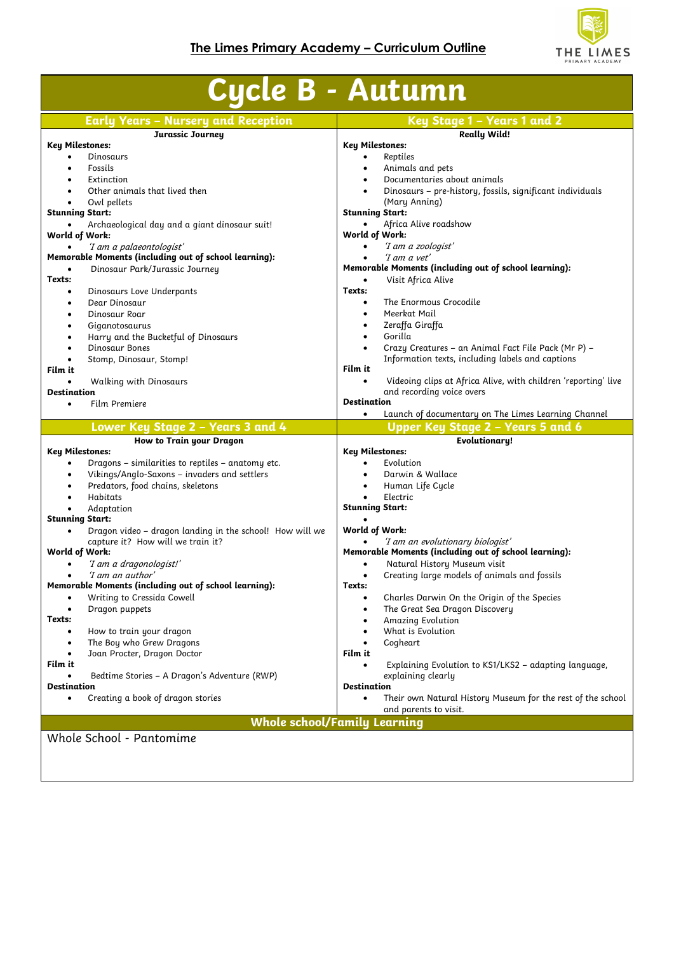

| <b>Early Years - Nursery and Reception</b><br>Jurassic Journey<br><b>Key Milestones:</b><br>Dinosaurs<br>Fossils<br>$\bullet$<br>Extinction<br>Other animals that lived then<br>Owl pellets<br>$\bullet$<br><b>Stunning Start:</b><br>Archaeological day and a giant dinosaur suit!<br>World of Work: | <b>Really Wild!</b><br><b>Key Milestones:</b><br>Reptiles<br>$\bullet$<br>Animals and pets<br>$\bullet$<br>Documentaries about animals<br>$\bullet$<br>Dinosaurs - pre-history, fossils, significant individuals<br>(Mary Anning) |
|-------------------------------------------------------------------------------------------------------------------------------------------------------------------------------------------------------------------------------------------------------------------------------------------------------|-----------------------------------------------------------------------------------------------------------------------------------------------------------------------------------------------------------------------------------|
|                                                                                                                                                                                                                                                                                                       |                                                                                                                                                                                                                                   |
|                                                                                                                                                                                                                                                                                                       |                                                                                                                                                                                                                                   |
|                                                                                                                                                                                                                                                                                                       |                                                                                                                                                                                                                                   |
|                                                                                                                                                                                                                                                                                                       |                                                                                                                                                                                                                                   |
|                                                                                                                                                                                                                                                                                                       |                                                                                                                                                                                                                                   |
|                                                                                                                                                                                                                                                                                                       |                                                                                                                                                                                                                                   |
|                                                                                                                                                                                                                                                                                                       | <b>Stunning Start:</b>                                                                                                                                                                                                            |
|                                                                                                                                                                                                                                                                                                       | Africa Alive roadshow<br>$\bullet$                                                                                                                                                                                                |
|                                                                                                                                                                                                                                                                                                       | World of Work:                                                                                                                                                                                                                    |
| 'I am a palaeontologist'                                                                                                                                                                                                                                                                              | 'I am a zoologist'<br>$\bullet$                                                                                                                                                                                                   |
| Memorable Moments (including out of school learning):                                                                                                                                                                                                                                                 | 'I am a vet'                                                                                                                                                                                                                      |
| Dinosaur Park/Jurassic Journey<br>$\bullet$                                                                                                                                                                                                                                                           | Memorable Moments (including out of school learning):                                                                                                                                                                             |
| Texts:                                                                                                                                                                                                                                                                                                | Visit Africa Alive<br>$\bullet$                                                                                                                                                                                                   |
| Dinosaurs Love Underpants<br>$\bullet$                                                                                                                                                                                                                                                                | Texts:                                                                                                                                                                                                                            |
| Dear Dinosaur<br>$\bullet$                                                                                                                                                                                                                                                                            | The Enormous Crocodile<br>$\bullet$                                                                                                                                                                                               |
| Dinosaur Roar<br>$\bullet$                                                                                                                                                                                                                                                                            | Meerkat Mail<br>$\bullet$                                                                                                                                                                                                         |
| Giganotosaurus<br>$\bullet$                                                                                                                                                                                                                                                                           | Zeraffa Giraffa<br>$\bullet$                                                                                                                                                                                                      |
| Harry and the Bucketful of Dinosaurs<br>$\bullet$                                                                                                                                                                                                                                                     | Gorilla<br>$\bullet$                                                                                                                                                                                                              |
| Dinosaur Bones<br>$\bullet$                                                                                                                                                                                                                                                                           | Crazy Creatures - an Animal Fact File Pack (Mr P) -                                                                                                                                                                               |
| Stomp, Dinosaur, Stomp!<br>$\bullet$                                                                                                                                                                                                                                                                  | Information texts, including labels and captions                                                                                                                                                                                  |
| Film it                                                                                                                                                                                                                                                                                               | Film it<br>$\bullet$                                                                                                                                                                                                              |
| <b>Walking with Dinosaurs</b><br>Destination                                                                                                                                                                                                                                                          | Videoing clips at Africa Alive, with children 'reporting' live<br>and recording voice overs                                                                                                                                       |
| Film Premiere<br>$\bullet$                                                                                                                                                                                                                                                                            | <b>Destination</b>                                                                                                                                                                                                                |
|                                                                                                                                                                                                                                                                                                       | Launch of documentary on The Limes Learning Channel<br>$\bullet$                                                                                                                                                                  |
| Lower Key Stage 2 - Years 3 and 4                                                                                                                                                                                                                                                                     | Upper Key Stage 2 - Years 5 and 6                                                                                                                                                                                                 |
| How to Train your Dragon                                                                                                                                                                                                                                                                              | <b>Evolutionary!</b>                                                                                                                                                                                                              |
| Key Milestones:                                                                                                                                                                                                                                                                                       | <b>Key Milestones:</b>                                                                                                                                                                                                            |
| Dragons - similarities to reptiles - anatomy etc.<br>$\bullet$                                                                                                                                                                                                                                        | Evolution<br>$\bullet$                                                                                                                                                                                                            |
| Vikings/Anglo-Saxons - invaders and settlers<br>$\bullet$                                                                                                                                                                                                                                             | Darwin & Wallace                                                                                                                                                                                                                  |
| Predators, food chains, skeletons<br>$\bullet$                                                                                                                                                                                                                                                        | Human Life Cycle<br>$\bullet$                                                                                                                                                                                                     |
| Habitats<br>$\bullet$                                                                                                                                                                                                                                                                                 | Electric                                                                                                                                                                                                                          |
| Adaptation                                                                                                                                                                                                                                                                                            | <b>Stunning Start:</b>                                                                                                                                                                                                            |
| <b>Stunning Start:</b>                                                                                                                                                                                                                                                                                |                                                                                                                                                                                                                                   |
| Dragon video - dragon landing in the school! How will we<br>$\bullet$                                                                                                                                                                                                                                 | World of Work:                                                                                                                                                                                                                    |
| capture it? How will we train it?                                                                                                                                                                                                                                                                     | 'I am an evolutionary biologist'<br>٠                                                                                                                                                                                             |
| World of Work:<br>'I am a dragonologist!'<br>$\bullet$                                                                                                                                                                                                                                                | Memorable Moments (including out of school learning):<br>$\bullet$                                                                                                                                                                |
| 'I am an author'<br>$\bullet$                                                                                                                                                                                                                                                                         | Natural History Museum visit<br>Creating large models of animals and fossils<br>$\bullet$                                                                                                                                         |
| Memorable Moments (including out of school learning):                                                                                                                                                                                                                                                 | Texts:                                                                                                                                                                                                                            |
| Writing to Cressida Cowell<br>٠                                                                                                                                                                                                                                                                       | Charles Darwin On the Origin of the Species<br>$\bullet$                                                                                                                                                                          |
| Dragon puppets<br>$\bullet$                                                                                                                                                                                                                                                                           | The Great Sea Dragon Discovery<br>$\bullet$                                                                                                                                                                                       |
| Texts:                                                                                                                                                                                                                                                                                                | Amazing Evolution<br>٠                                                                                                                                                                                                            |
| How to train your dragon<br>$\bullet$                                                                                                                                                                                                                                                                 | What is Evolution<br>$\bullet$                                                                                                                                                                                                    |
| The Boy who Grew Dragons<br>٠                                                                                                                                                                                                                                                                         | Cogheart<br>$\bullet$                                                                                                                                                                                                             |
| Joan Procter, Dragon Doctor<br>$\bullet$                                                                                                                                                                                                                                                              | Film it                                                                                                                                                                                                                           |
| Film it                                                                                                                                                                                                                                                                                               | Explaining Evolution to KS1/LKS2 - adapting language,<br>$\bullet$                                                                                                                                                                |
| Bedtime Stories - A Dragon's Adventure (RWP)                                                                                                                                                                                                                                                          | explaining clearly                                                                                                                                                                                                                |
| Destination                                                                                                                                                                                                                                                                                           | Destination                                                                                                                                                                                                                       |
| Creating a book of dragon stories<br>٠                                                                                                                                                                                                                                                                | Their own Natural History Museum for the rest of the school<br>$\bullet$<br>and parents to visit.                                                                                                                                 |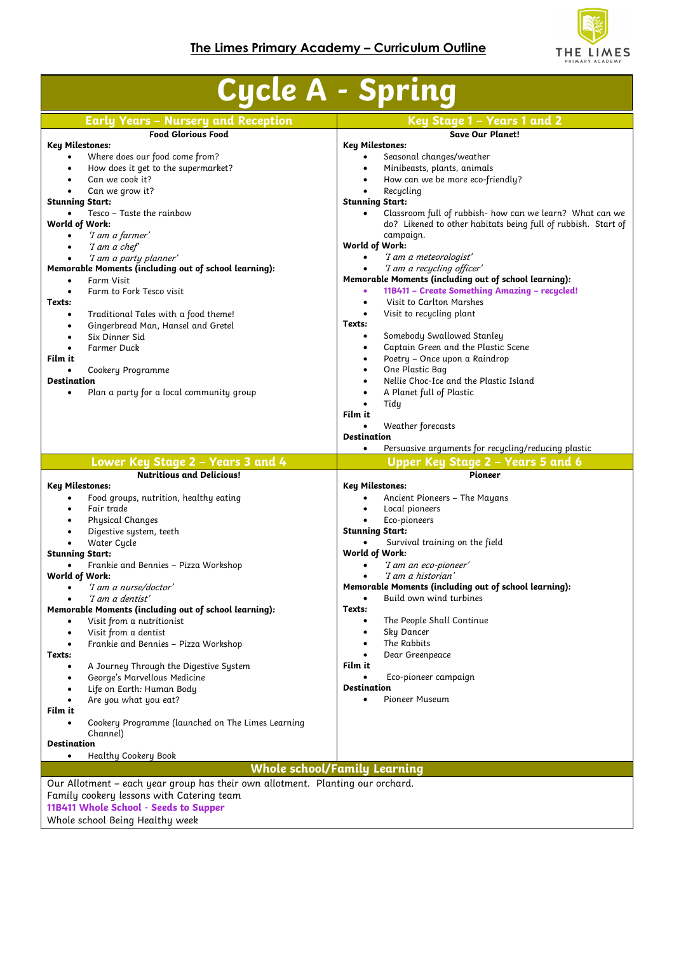

| <b>Cycle A - Spring</b>                                                        |                                                                  |  |  |  |
|--------------------------------------------------------------------------------|------------------------------------------------------------------|--|--|--|
| <b>Early Years - Nursery and Reception</b>                                     | Key Stage 1 - Years 1 and 2                                      |  |  |  |
| <b>Food Glorious Food</b>                                                      | <b>Save Our Planet!</b>                                          |  |  |  |
| <b>Key Milestones:</b><br>Where does our food come from?                       | <b>Key Milestones:</b><br>Seasonal changes/weather               |  |  |  |
| How does it get to the supermarket?<br>$\bullet$                               | Minibeasts, plants, animals                                      |  |  |  |
| Can we cook it?                                                                | How can we be more eco-friendly?<br>$\bullet$                    |  |  |  |
| Can we grow it?                                                                | Recucling                                                        |  |  |  |
| <b>Stunning Start:</b>                                                         | <b>Stunning Start:</b>                                           |  |  |  |
| Tesco - Taste the rainbow                                                      | Classroom full of rubbish- how can we learn? What can we         |  |  |  |
| World of Work:                                                                 | do? Likened to other habitats being full of rubbish. Start of    |  |  |  |
| 'I am a farmer'<br>$\bullet$                                                   | campaign.                                                        |  |  |  |
| 'I am a chef'                                                                  | World of Work:                                                   |  |  |  |
| 'I am a party planner'                                                         | 'I am a meteorologist'<br>$\bullet$                              |  |  |  |
| Memorable Moments (including out of school learning):                          | 'I am a recycling officer'<br>$\bullet$                          |  |  |  |
| Farm Visit<br>$\bullet$                                                        | Memorable Moments (including out of school learning):            |  |  |  |
| Farm to Fork Tesco visit                                                       | 11B411 - Create Something Amazing - recycled!<br>$\bullet$       |  |  |  |
| Texts:                                                                         | Visit to Carlton Marshes<br>$\bullet$                            |  |  |  |
| Traditional Tales with a food theme!<br>٠                                      | Visit to recycling plant<br>$\bullet$                            |  |  |  |
| Gingerbread Man, Hansel and Gretel<br>٠                                        | Texts:                                                           |  |  |  |
| Six Dinner Sid                                                                 | Somebody Swallowed Stanley<br>$\bullet$                          |  |  |  |
| <b>Farmer Duck</b>                                                             | Captain Green and the Plastic Scene<br>$\bullet$                 |  |  |  |
| Film it                                                                        | Poetry - Once upon a Raindrop<br>$\bullet$                       |  |  |  |
| Cookery Programme                                                              | One Plastic Bag<br>$\bullet$                                     |  |  |  |
| <b>Destination</b>                                                             | Nellie Choc-Ice and the Plastic Island<br>$\bullet$              |  |  |  |
| Plan a party for a local community group<br>$\bullet$                          | A Planet full of Plastic<br>$\bullet$                            |  |  |  |
|                                                                                | Tidy<br>$\bullet$                                                |  |  |  |
|                                                                                | Film it                                                          |  |  |  |
|                                                                                | Weather forecasts<br>$\bullet$                                   |  |  |  |
|                                                                                | <b>Destination</b>                                               |  |  |  |
|                                                                                | Persuasive arguments for recycling/reducing plastic<br>$\bullet$ |  |  |  |
|                                                                                |                                                                  |  |  |  |
| Lower Key Stage 2 - Years 3 and 4                                              | Upper Key Stage 2 - Years 5 and 6                                |  |  |  |
| <b>Nutritious and Delicious!</b>                                               | <b>Pioneer</b>                                                   |  |  |  |
| <b>Key Milestones:</b>                                                         | Key Milestones:                                                  |  |  |  |
| Food groups, nutrition, healthy eating                                         | Ancient Pioneers - The Mayans                                    |  |  |  |
| Fair trade<br>$\bullet$                                                        | Local pioneers<br>$\bullet$                                      |  |  |  |
| Physical Changes                                                               | Eco-pioneers<br><b>Stunning Start:</b>                           |  |  |  |
| Digestive system, teeth                                                        | Survival training on the field                                   |  |  |  |
| Water Cycle<br><b>Stunning Start:</b>                                          | World of Work:                                                   |  |  |  |
| Frankie and Bennies - Pizza Workshop                                           | 'I am an eco-pioneer'                                            |  |  |  |
| World of Work:                                                                 | 'I am a historian'                                               |  |  |  |
| 'I am a nurse/doctor'<br>٠                                                     | Memorable Moments (including out of school learning):            |  |  |  |
| 'I am a dentist'                                                               | Build own wind turbines<br>$\bullet$                             |  |  |  |
| Memorable Moments (including out of school learning):                          | Texts:                                                           |  |  |  |
| Visit from a nutritionist<br>٠                                                 | The People Shall Continue<br>$\bullet$                           |  |  |  |
| Visit from a dentist<br>$\bullet$                                              | Sky Dancer<br>$\bullet$                                          |  |  |  |
| Frankie and Bennies - Pizza Workshop<br>$\bullet$                              | The Rabbits<br>$\bullet$                                         |  |  |  |
| Texts:                                                                         | Dear Greenpeace<br>$\bullet$                                     |  |  |  |
| A Journey Through the Digestive System                                         | Film it                                                          |  |  |  |
| George's Marvellous Medicine<br>$\bullet$                                      | Eco-pioneer campaign<br>$\bullet$                                |  |  |  |
| Life on Earth: Human Body                                                      | <b>Destination</b>                                               |  |  |  |
| Are you what you eat?                                                          | Pioneer Museum<br>$\bullet$                                      |  |  |  |
| Film it                                                                        |                                                                  |  |  |  |
| Cookery Programme (launched on The Limes Learning                              |                                                                  |  |  |  |
| Channel)                                                                       |                                                                  |  |  |  |
| <b>Destination</b>                                                             |                                                                  |  |  |  |
| Healthy Cookery Book<br>٠                                                      |                                                                  |  |  |  |
|                                                                                | <b>Whole school/Family Learning</b>                              |  |  |  |
| Our Allotment - each year group has their own allotment. Planting our orchard. |                                                                  |  |  |  |
| Family cookery lessons with Catering team                                      |                                                                  |  |  |  |
| 11B411 Whole School - Seeds to Supper<br>Whole school Being Healthy week       |                                                                  |  |  |  |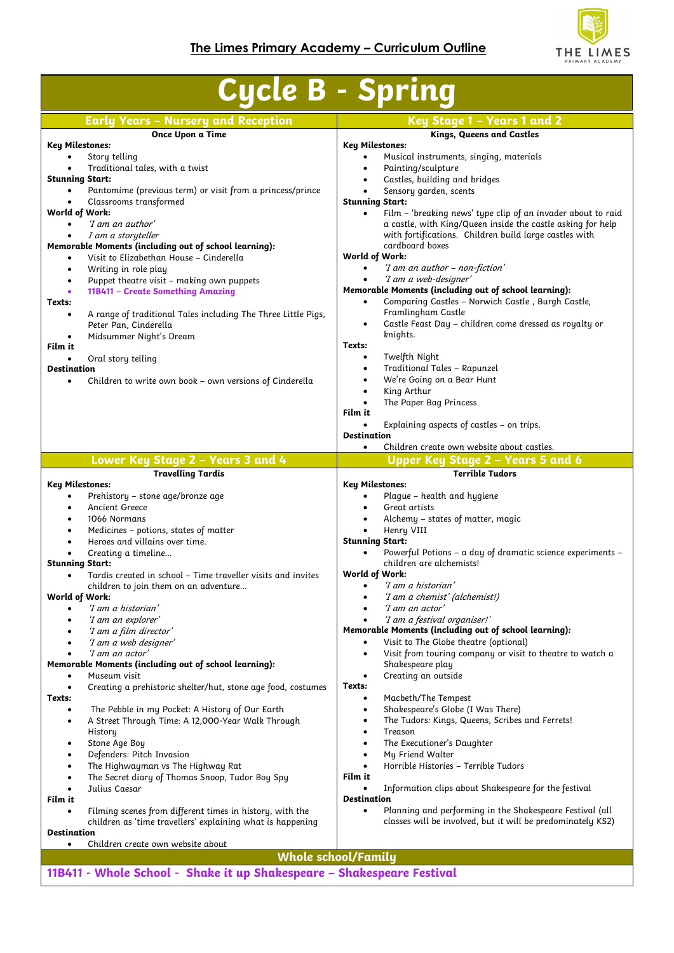

| <b>Cycle B - Spring</b>                                                                                       |                                                                                                                         |  |  |
|---------------------------------------------------------------------------------------------------------------|-------------------------------------------------------------------------------------------------------------------------|--|--|
| <b>Early Years - Nursery and Reception</b>                                                                    | Key Stage 1 – Years 1 and 2                                                                                             |  |  |
| Once Upon a Time                                                                                              | Kings, Queens and Castles                                                                                               |  |  |
| <b>Key Milestones:</b>                                                                                        | <b>Key Milestones:</b>                                                                                                  |  |  |
| Story telling<br>Traditional tales, with a twist                                                              | Musical instruments, singing, materials<br>Painting/sculpture<br>$\bullet$                                              |  |  |
| <b>Stunning Start:</b>                                                                                        | Castles, building and bridges                                                                                           |  |  |
| Pantomime (previous term) or visit from a princess/prince                                                     | Sensory garden, scents<br>$\bullet$<br><b>Stunning Start:</b>                                                           |  |  |
| Classrooms transformed<br>World of Work:                                                                      | Film - 'breaking news' type clip of an invader about to raid<br>$\bullet$                                               |  |  |
| 'I am an author'<br>$\bullet$                                                                                 | a castle, with King/Queen inside the castle asking for help                                                             |  |  |
| I am a storyteller                                                                                            | with fortifications. Children build large castles with<br>cardboard boxes                                               |  |  |
| Memorable Moments (including out of school learning):<br>Visit to Elizabethan House - Cinderella<br>$\bullet$ | World of Work:                                                                                                          |  |  |
| Writing in role play<br>٠                                                                                     | 'I am an author - non-fiction'<br>$\bullet$                                                                             |  |  |
| Puppet theatre visit - making own puppets<br>$\bullet$                                                        | 'I am a web-designer'                                                                                                   |  |  |
| 11B411 - Create Something Amazing<br>Texts:                                                                   | Memorable Moments (including out of school learning):<br>Comparing Castles - Norwich Castle, Burgh Castle,<br>$\bullet$ |  |  |
| A range of traditional Tales including The Three Little Pigs,<br>$\bullet$                                    | Framlingham Castle                                                                                                      |  |  |
| Peter Pan, Cinderella                                                                                         | Castle Feast Day - children come dressed as royalty or<br>$\bullet$                                                     |  |  |
| Midsummer Night's Dream<br>Film it                                                                            | knights.<br>Texts:                                                                                                      |  |  |
| Oral story telling                                                                                            | Twelfth Night<br>$\bullet$                                                                                              |  |  |
| <b>Destination</b>                                                                                            | Traditional Tales - Rapunzel<br>$\bullet$                                                                               |  |  |
| Children to write own book - own versions of Cinderella<br>$\bullet$                                          | We're Going on a Bear Hunt<br>$\bullet$                                                                                 |  |  |
|                                                                                                               | King Arthur<br>$\bullet$<br>The Paper Bag Princess<br>$\bullet$                                                         |  |  |
|                                                                                                               | Film it                                                                                                                 |  |  |
|                                                                                                               | Explaining aspects of castles - on trips.                                                                               |  |  |
|                                                                                                               | <b>Destination</b><br>Children create own website about castles.<br>$\bullet$                                           |  |  |
| Lower Key Stage 2 - Years 3 and 4                                                                             | <b>Upper Key Stage 2 - Years 5 and 6</b>                                                                                |  |  |
| <b>Travelling Tardis</b>                                                                                      | <b>Terrible Tudors</b>                                                                                                  |  |  |
| <b>Key Milestones:</b>                                                                                        | <b>Key Milestones:</b>                                                                                                  |  |  |
| Prehistory - stone age/bronze age<br>٠<br><b>Ancient Greece</b><br>$\bullet$                                  | Plague – health and hygiene<br>Great artists                                                                            |  |  |
| 1066 Normans<br>$\bullet$                                                                                     | Alchemy - states of matter, magic                                                                                       |  |  |
| Medicines - potions, states of matter<br>٠                                                                    | Henry VIII<br>$\bullet$                                                                                                 |  |  |
| Heroes and villains over time.                                                                                | <b>Stunning Start:</b><br>Powerful Potions - a day of dramatic science experiments -                                    |  |  |
| Creating a timeline<br><b>Stunning Start:</b>                                                                 | children are alchemists!                                                                                                |  |  |
| Tardis created in school - Time traveller visits and invites<br>$\bullet$                                     | World of Work:                                                                                                          |  |  |
| children to join them on an adventure                                                                         | 'I am a historian'<br>$\bullet$                                                                                         |  |  |
| World of Work:<br>'I am a historian'<br>$\bullet$                                                             | 'I am a chemist' (alchemist!)<br>'I am an actor'                                                                        |  |  |
| 'I am an explorer'<br>$\bullet$                                                                               | 'I am a festival organiser!'                                                                                            |  |  |
| 'I am a film director'                                                                                        | Memorable Moments (including out of school learning):                                                                   |  |  |
| 'I am a web designer'<br>'I am an actor'                                                                      | Visit to The Globe theatre (optional)<br>Visit from touring company or visit to theatre to watch a<br>$\bullet$         |  |  |
| Memorable Moments (including out of school learning):                                                         | Shakespeare play                                                                                                        |  |  |
| Museum visit<br>$\bullet$                                                                                     | Creating an outside<br>$\bullet$                                                                                        |  |  |
| Creating a prehistoric shelter/hut, stone age food, costumes<br>$\bullet$<br>Texts:                           | Texts:<br>Macbeth/The Tempest<br>$\bullet$                                                                              |  |  |
| The Pebble in my Pocket: A History of Our Earth<br>$\bullet$                                                  | Shakespeare's Globe (I Was There)<br>٠                                                                                  |  |  |
| A Street Through Time: A 12,000-Year Walk Through<br>$\bullet$                                                | The Tudors: Kings, Queens, Scribes and Ferrets!<br>٠                                                                    |  |  |
| History                                                                                                       | Treason<br>$\bullet$                                                                                                    |  |  |
| Stone Age Boy<br>Defenders: Pitch Invasion<br>$\bullet$                                                       | The Executioner's Daughter<br>$\bullet$<br>My Friend Walter<br>$\bullet$                                                |  |  |
| The Highwayman vs The Highway Rat<br>$\bullet$                                                                | Horrible Histories - Terrible Tudors<br>$\bullet$                                                                       |  |  |
| The Secret diary of Thomas Snoop, Tudor Boy Spy<br>$\bullet$                                                  | Film it                                                                                                                 |  |  |
| Julius Caesar                                                                                                 | Information clips about Shakespeare for the festival<br>$\bullet$<br><b>Destination</b>                                 |  |  |
| Film it<br>Filming scenes from different times in history, with the<br>$\bullet$                              | Planning and performing in the Shakespeare Festival (all<br>$\bullet$                                                   |  |  |
| children as 'time travellers' explaining what is happening                                                    | classes will be involved, but it will be predominately KS2)                                                             |  |  |
| <b>Destination</b>                                                                                            |                                                                                                                         |  |  |
| Children create own website about<br>$\bullet$                                                                | <b>Whole school/Family</b>                                                                                              |  |  |
| 11B411 - Whole School - Shake it up Shakespeare - Shakespeare Festival                                        |                                                                                                                         |  |  |
|                                                                                                               |                                                                                                                         |  |  |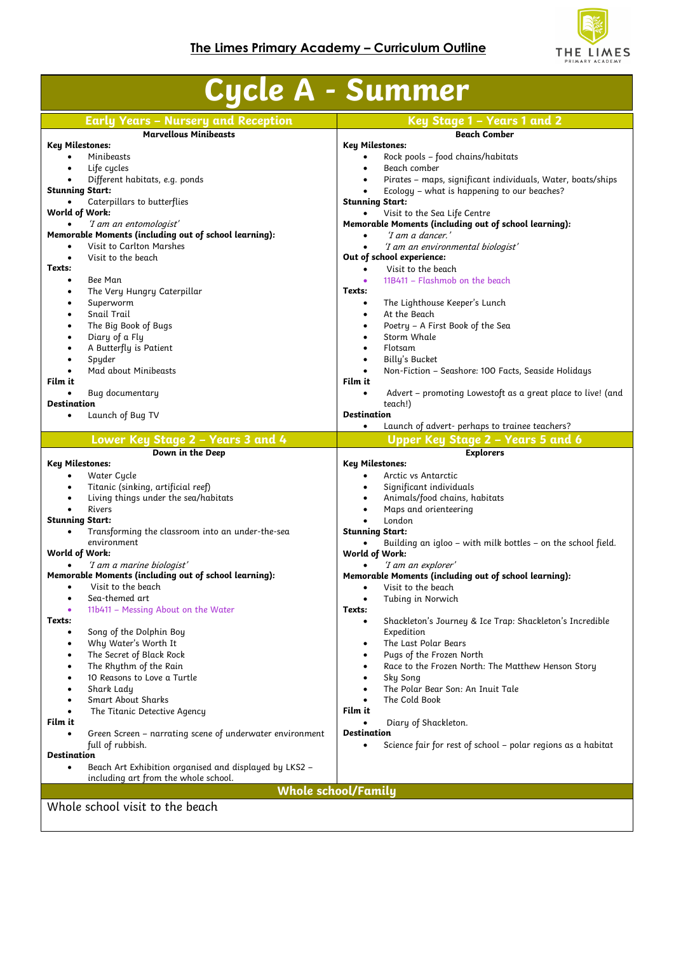

| Key Stage 1 - Years 1 and 2<br><b>Early Years - Nursery and Reception</b><br><b>Marvellous Minibeasts</b><br><b>Beach Comber</b><br><b>Key Milestones:</b><br><b>Key Milestones:</b><br>Minibeasts<br>Rock pools - food chains/habitats<br>$\bullet$<br>$\bullet$<br>Beach comber<br>Life cycles<br>$\bullet$<br>$\bullet$<br>Different habitats, e.g. ponds<br>Pirates - maps, significant individuals, Water, boats/ships<br>$\bullet$<br><b>Stunning Start:</b><br>Ecology - what is happening to our beaches?<br><b>Stunning Start:</b><br>Caterpillars to butterflies<br>World of Work:<br>Visit to the Sea Life Centre<br>$\bullet$<br>Memorable Moments (including out of school learning):<br>'I am an entomologist'<br>Memorable Moments (including out of school learning):<br>'I am a dancer.'<br>$\bullet$<br>Visit to Carlton Marshes<br>'I am an environmental biologist'<br>$\bullet$<br>Visit to the beach<br>Out of school experience:<br>$\bullet$<br>Texts:<br>Visit to the beach<br>$\bullet$<br>Bee Man<br>11B411 - Flashmob on the beach<br>$\bullet$<br>$\bullet$<br>The Very Hungry Caterpillar<br>Texts:<br>$\bullet$<br>Superworm<br>The Lighthouse Keeper's Lunch<br>$\bullet$<br>$\bullet$<br>At the Beach<br>Snail Trail<br>$\bullet$<br>$\bullet$<br>The Big Book of Bugs<br>Poetry - A First Book of the Sea<br>$\bullet$<br>$\bullet$<br>Storm Whale<br>Diary of a Fly<br>$\bullet$<br>$\bullet$<br>A Butterfly is Patient<br>Flotsam<br>$\bullet$<br>$\bullet$<br>Spyder<br>Billy's Bucket<br>$\bullet$<br>$\bullet$<br>Mad about Minibeasts<br>Non-Fiction - Seashore: 100 Facts, Seaside Holidays<br>$\bullet$<br>$\bullet$<br>Film it<br>Film it<br>Bug documentary<br>Advert - promoting Lowestoft as a great place to live! (and<br>$\bullet$<br>$\bullet$<br><b>Destination</b><br>teach!)<br><b>Destination</b><br>Launch of Bug TV<br>$\bullet$<br>Launch of advert- perhaps to trainee teachers?<br>$\bullet$<br>Lower Key Stage 2 - Years 3 and 4<br>Upper Key Stage 2 - Years 5 and 6<br>Down in the Deep<br><b>Explorers</b><br><b>Key Milestones:</b><br>Key Milestones:<br>Arctic vs Antarctic<br>Water Cycle<br>$\bullet$<br>$\bullet$<br>Titanic (sinking, artificial reef)<br>Significant individuals<br>$\bullet$<br>$\bullet$<br>Living things under the sea/habitats<br>Animals/food chains, habitats<br>$\bullet$<br>$\bullet$<br>Rivers<br>Maps and orienteering<br>$\bullet$<br><b>Stunning Start:</b><br>London<br>$\bullet$<br><b>Stunning Start:</b><br>Transforming the classroom into an under-the-sea<br>$\bullet$<br>environment<br>Building an igloo - with milk bottles - on the school field.<br>$\bullet$<br>World of Work:<br>World of Work:<br>'I am a marine biologist'<br>'I am an explorer'<br>Memorable Moments (including out of school learning):<br>Memorable Moments (including out of school learning):<br>Visit to the beach<br>Visit to the beach<br>٠<br>$\bullet$<br>Sea-themed art<br>Tubing in Norwich<br>$\bullet$<br>11b411 - Messing About on the Water<br>Texts:<br>Texts:<br>Shackleton's Journey & Ice Trap: Shackleton's Incredible<br>٠<br>Expedition<br>Song of the Dolphin Boy<br>$\bullet$<br>Why Water's Worth It<br>The Last Polar Bears<br>٠<br>$\bullet$<br>The Secret of Black Rock<br>Pugs of the Frozen North<br>$\bullet$<br>$\bullet$<br>The Rhythm of the Rain<br>Race to the Frozen North: The Matthew Henson Story<br>$\bullet$<br>٠<br>10 Reasons to Love a Turtle<br>Sky Song<br>$\bullet$<br>$\bullet$<br>The Polar Bear Son: An Inuit Tale<br>Shark Lady<br>$\bullet$<br>$\bullet$<br><b>Smart About Sharks</b><br>The Cold Book<br>$\bullet$<br>Film it<br>The Titanic Detective Agency<br>$\bullet$<br>Film it<br>Diary of Shackleton.<br><b>Destination</b><br>Green Screen - narrating scene of underwater environment<br>full of rubbish.<br>Science fair for rest of school – polar regions as a habitat<br>$\bullet$<br><b>Destination</b><br>Beach Art Exhibition organised and displayed by LKS2 -<br>$\bullet$<br>including art from the whole school.<br><b>Whole school/Family</b><br>Whole school visit to the beach | <b>Cycle A - Summer</b> |  |  |  |
|--------------------------------------------------------------------------------------------------------------------------------------------------------------------------------------------------------------------------------------------------------------------------------------------------------------------------------------------------------------------------------------------------------------------------------------------------------------------------------------------------------------------------------------------------------------------------------------------------------------------------------------------------------------------------------------------------------------------------------------------------------------------------------------------------------------------------------------------------------------------------------------------------------------------------------------------------------------------------------------------------------------------------------------------------------------------------------------------------------------------------------------------------------------------------------------------------------------------------------------------------------------------------------------------------------------------------------------------------------------------------------------------------------------------------------------------------------------------------------------------------------------------------------------------------------------------------------------------------------------------------------------------------------------------------------------------------------------------------------------------------------------------------------------------------------------------------------------------------------------------------------------------------------------------------------------------------------------------------------------------------------------------------------------------------------------------------------------------------------------------------------------------------------------------------------------------------------------------------------------------------------------------------------------------------------------------------------------------------------------------------------------------------------------------------------------------------------------------------------------------------------------------------------------------------------------------------------------------------------------------------------------------------------------------------------------------------------------------------------------------------------------------------------------------------------------------------------------------------------------------------------------------------------------------------------------------------------------------------------------------------------------------------------------------------------------------------------------------------------------------------------------------------------------------------------------------------------------------------------------------------------------------------------------------------------------------------------------------------------------------------------------------------------------------------------------------------------------------------------------------------------------------------------------------------------------------------------------------------------------------------------------------------------------------------------------------------------------------------------------------------------------------------------------------------------------------------------------------------------------------------------------------------------------------------------------------------------------------------------------------------------------------------------------------------------------------------------------------------------------------------------------------------|-------------------------|--|--|--|
|                                                                                                                                                                                                                                                                                                                                                                                                                                                                                                                                                                                                                                                                                                                                                                                                                                                                                                                                                                                                                                                                                                                                                                                                                                                                                                                                                                                                                                                                                                                                                                                                                                                                                                                                                                                                                                                                                                                                                                                                                                                                                                                                                                                                                                                                                                                                                                                                                                                                                                                                                                                                                                                                                                                                                                                                                                                                                                                                                                                                                                                                                                                                                                                                                                                                                                                                                                                                                                                                                                                                                                                                                                                                                                                                                                                                                                                                                                                                                                                                                                                                                                                                                  |                         |  |  |  |
|                                                                                                                                                                                                                                                                                                                                                                                                                                                                                                                                                                                                                                                                                                                                                                                                                                                                                                                                                                                                                                                                                                                                                                                                                                                                                                                                                                                                                                                                                                                                                                                                                                                                                                                                                                                                                                                                                                                                                                                                                                                                                                                                                                                                                                                                                                                                                                                                                                                                                                                                                                                                                                                                                                                                                                                                                                                                                                                                                                                                                                                                                                                                                                                                                                                                                                                                                                                                                                                                                                                                                                                                                                                                                                                                                                                                                                                                                                                                                                                                                                                                                                                                                  |                         |  |  |  |
|                                                                                                                                                                                                                                                                                                                                                                                                                                                                                                                                                                                                                                                                                                                                                                                                                                                                                                                                                                                                                                                                                                                                                                                                                                                                                                                                                                                                                                                                                                                                                                                                                                                                                                                                                                                                                                                                                                                                                                                                                                                                                                                                                                                                                                                                                                                                                                                                                                                                                                                                                                                                                                                                                                                                                                                                                                                                                                                                                                                                                                                                                                                                                                                                                                                                                                                                                                                                                                                                                                                                                                                                                                                                                                                                                                                                                                                                                                                                                                                                                                                                                                                                                  |                         |  |  |  |
|                                                                                                                                                                                                                                                                                                                                                                                                                                                                                                                                                                                                                                                                                                                                                                                                                                                                                                                                                                                                                                                                                                                                                                                                                                                                                                                                                                                                                                                                                                                                                                                                                                                                                                                                                                                                                                                                                                                                                                                                                                                                                                                                                                                                                                                                                                                                                                                                                                                                                                                                                                                                                                                                                                                                                                                                                                                                                                                                                                                                                                                                                                                                                                                                                                                                                                                                                                                                                                                                                                                                                                                                                                                                                                                                                                                                                                                                                                                                                                                                                                                                                                                                                  |                         |  |  |  |
|                                                                                                                                                                                                                                                                                                                                                                                                                                                                                                                                                                                                                                                                                                                                                                                                                                                                                                                                                                                                                                                                                                                                                                                                                                                                                                                                                                                                                                                                                                                                                                                                                                                                                                                                                                                                                                                                                                                                                                                                                                                                                                                                                                                                                                                                                                                                                                                                                                                                                                                                                                                                                                                                                                                                                                                                                                                                                                                                                                                                                                                                                                                                                                                                                                                                                                                                                                                                                                                                                                                                                                                                                                                                                                                                                                                                                                                                                                                                                                                                                                                                                                                                                  |                         |  |  |  |
|                                                                                                                                                                                                                                                                                                                                                                                                                                                                                                                                                                                                                                                                                                                                                                                                                                                                                                                                                                                                                                                                                                                                                                                                                                                                                                                                                                                                                                                                                                                                                                                                                                                                                                                                                                                                                                                                                                                                                                                                                                                                                                                                                                                                                                                                                                                                                                                                                                                                                                                                                                                                                                                                                                                                                                                                                                                                                                                                                                                                                                                                                                                                                                                                                                                                                                                                                                                                                                                                                                                                                                                                                                                                                                                                                                                                                                                                                                                                                                                                                                                                                                                                                  |                         |  |  |  |
|                                                                                                                                                                                                                                                                                                                                                                                                                                                                                                                                                                                                                                                                                                                                                                                                                                                                                                                                                                                                                                                                                                                                                                                                                                                                                                                                                                                                                                                                                                                                                                                                                                                                                                                                                                                                                                                                                                                                                                                                                                                                                                                                                                                                                                                                                                                                                                                                                                                                                                                                                                                                                                                                                                                                                                                                                                                                                                                                                                                                                                                                                                                                                                                                                                                                                                                                                                                                                                                                                                                                                                                                                                                                                                                                                                                                                                                                                                                                                                                                                                                                                                                                                  |                         |  |  |  |
|                                                                                                                                                                                                                                                                                                                                                                                                                                                                                                                                                                                                                                                                                                                                                                                                                                                                                                                                                                                                                                                                                                                                                                                                                                                                                                                                                                                                                                                                                                                                                                                                                                                                                                                                                                                                                                                                                                                                                                                                                                                                                                                                                                                                                                                                                                                                                                                                                                                                                                                                                                                                                                                                                                                                                                                                                                                                                                                                                                                                                                                                                                                                                                                                                                                                                                                                                                                                                                                                                                                                                                                                                                                                                                                                                                                                                                                                                                                                                                                                                                                                                                                                                  |                         |  |  |  |
|                                                                                                                                                                                                                                                                                                                                                                                                                                                                                                                                                                                                                                                                                                                                                                                                                                                                                                                                                                                                                                                                                                                                                                                                                                                                                                                                                                                                                                                                                                                                                                                                                                                                                                                                                                                                                                                                                                                                                                                                                                                                                                                                                                                                                                                                                                                                                                                                                                                                                                                                                                                                                                                                                                                                                                                                                                                                                                                                                                                                                                                                                                                                                                                                                                                                                                                                                                                                                                                                                                                                                                                                                                                                                                                                                                                                                                                                                                                                                                                                                                                                                                                                                  |                         |  |  |  |
|                                                                                                                                                                                                                                                                                                                                                                                                                                                                                                                                                                                                                                                                                                                                                                                                                                                                                                                                                                                                                                                                                                                                                                                                                                                                                                                                                                                                                                                                                                                                                                                                                                                                                                                                                                                                                                                                                                                                                                                                                                                                                                                                                                                                                                                                                                                                                                                                                                                                                                                                                                                                                                                                                                                                                                                                                                                                                                                                                                                                                                                                                                                                                                                                                                                                                                                                                                                                                                                                                                                                                                                                                                                                                                                                                                                                                                                                                                                                                                                                                                                                                                                                                  |                         |  |  |  |
|                                                                                                                                                                                                                                                                                                                                                                                                                                                                                                                                                                                                                                                                                                                                                                                                                                                                                                                                                                                                                                                                                                                                                                                                                                                                                                                                                                                                                                                                                                                                                                                                                                                                                                                                                                                                                                                                                                                                                                                                                                                                                                                                                                                                                                                                                                                                                                                                                                                                                                                                                                                                                                                                                                                                                                                                                                                                                                                                                                                                                                                                                                                                                                                                                                                                                                                                                                                                                                                                                                                                                                                                                                                                                                                                                                                                                                                                                                                                                                                                                                                                                                                                                  |                         |  |  |  |
|                                                                                                                                                                                                                                                                                                                                                                                                                                                                                                                                                                                                                                                                                                                                                                                                                                                                                                                                                                                                                                                                                                                                                                                                                                                                                                                                                                                                                                                                                                                                                                                                                                                                                                                                                                                                                                                                                                                                                                                                                                                                                                                                                                                                                                                                                                                                                                                                                                                                                                                                                                                                                                                                                                                                                                                                                                                                                                                                                                                                                                                                                                                                                                                                                                                                                                                                                                                                                                                                                                                                                                                                                                                                                                                                                                                                                                                                                                                                                                                                                                                                                                                                                  |                         |  |  |  |
|                                                                                                                                                                                                                                                                                                                                                                                                                                                                                                                                                                                                                                                                                                                                                                                                                                                                                                                                                                                                                                                                                                                                                                                                                                                                                                                                                                                                                                                                                                                                                                                                                                                                                                                                                                                                                                                                                                                                                                                                                                                                                                                                                                                                                                                                                                                                                                                                                                                                                                                                                                                                                                                                                                                                                                                                                                                                                                                                                                                                                                                                                                                                                                                                                                                                                                                                                                                                                                                                                                                                                                                                                                                                                                                                                                                                                                                                                                                                                                                                                                                                                                                                                  |                         |  |  |  |
|                                                                                                                                                                                                                                                                                                                                                                                                                                                                                                                                                                                                                                                                                                                                                                                                                                                                                                                                                                                                                                                                                                                                                                                                                                                                                                                                                                                                                                                                                                                                                                                                                                                                                                                                                                                                                                                                                                                                                                                                                                                                                                                                                                                                                                                                                                                                                                                                                                                                                                                                                                                                                                                                                                                                                                                                                                                                                                                                                                                                                                                                                                                                                                                                                                                                                                                                                                                                                                                                                                                                                                                                                                                                                                                                                                                                                                                                                                                                                                                                                                                                                                                                                  |                         |  |  |  |
|                                                                                                                                                                                                                                                                                                                                                                                                                                                                                                                                                                                                                                                                                                                                                                                                                                                                                                                                                                                                                                                                                                                                                                                                                                                                                                                                                                                                                                                                                                                                                                                                                                                                                                                                                                                                                                                                                                                                                                                                                                                                                                                                                                                                                                                                                                                                                                                                                                                                                                                                                                                                                                                                                                                                                                                                                                                                                                                                                                                                                                                                                                                                                                                                                                                                                                                                                                                                                                                                                                                                                                                                                                                                                                                                                                                                                                                                                                                                                                                                                                                                                                                                                  |                         |  |  |  |
|                                                                                                                                                                                                                                                                                                                                                                                                                                                                                                                                                                                                                                                                                                                                                                                                                                                                                                                                                                                                                                                                                                                                                                                                                                                                                                                                                                                                                                                                                                                                                                                                                                                                                                                                                                                                                                                                                                                                                                                                                                                                                                                                                                                                                                                                                                                                                                                                                                                                                                                                                                                                                                                                                                                                                                                                                                                                                                                                                                                                                                                                                                                                                                                                                                                                                                                                                                                                                                                                                                                                                                                                                                                                                                                                                                                                                                                                                                                                                                                                                                                                                                                                                  |                         |  |  |  |
|                                                                                                                                                                                                                                                                                                                                                                                                                                                                                                                                                                                                                                                                                                                                                                                                                                                                                                                                                                                                                                                                                                                                                                                                                                                                                                                                                                                                                                                                                                                                                                                                                                                                                                                                                                                                                                                                                                                                                                                                                                                                                                                                                                                                                                                                                                                                                                                                                                                                                                                                                                                                                                                                                                                                                                                                                                                                                                                                                                                                                                                                                                                                                                                                                                                                                                                                                                                                                                                                                                                                                                                                                                                                                                                                                                                                                                                                                                                                                                                                                                                                                                                                                  |                         |  |  |  |
|                                                                                                                                                                                                                                                                                                                                                                                                                                                                                                                                                                                                                                                                                                                                                                                                                                                                                                                                                                                                                                                                                                                                                                                                                                                                                                                                                                                                                                                                                                                                                                                                                                                                                                                                                                                                                                                                                                                                                                                                                                                                                                                                                                                                                                                                                                                                                                                                                                                                                                                                                                                                                                                                                                                                                                                                                                                                                                                                                                                                                                                                                                                                                                                                                                                                                                                                                                                                                                                                                                                                                                                                                                                                                                                                                                                                                                                                                                                                                                                                                                                                                                                                                  |                         |  |  |  |
|                                                                                                                                                                                                                                                                                                                                                                                                                                                                                                                                                                                                                                                                                                                                                                                                                                                                                                                                                                                                                                                                                                                                                                                                                                                                                                                                                                                                                                                                                                                                                                                                                                                                                                                                                                                                                                                                                                                                                                                                                                                                                                                                                                                                                                                                                                                                                                                                                                                                                                                                                                                                                                                                                                                                                                                                                                                                                                                                                                                                                                                                                                                                                                                                                                                                                                                                                                                                                                                                                                                                                                                                                                                                                                                                                                                                                                                                                                                                                                                                                                                                                                                                                  |                         |  |  |  |
|                                                                                                                                                                                                                                                                                                                                                                                                                                                                                                                                                                                                                                                                                                                                                                                                                                                                                                                                                                                                                                                                                                                                                                                                                                                                                                                                                                                                                                                                                                                                                                                                                                                                                                                                                                                                                                                                                                                                                                                                                                                                                                                                                                                                                                                                                                                                                                                                                                                                                                                                                                                                                                                                                                                                                                                                                                                                                                                                                                                                                                                                                                                                                                                                                                                                                                                                                                                                                                                                                                                                                                                                                                                                                                                                                                                                                                                                                                                                                                                                                                                                                                                                                  |                         |  |  |  |
|                                                                                                                                                                                                                                                                                                                                                                                                                                                                                                                                                                                                                                                                                                                                                                                                                                                                                                                                                                                                                                                                                                                                                                                                                                                                                                                                                                                                                                                                                                                                                                                                                                                                                                                                                                                                                                                                                                                                                                                                                                                                                                                                                                                                                                                                                                                                                                                                                                                                                                                                                                                                                                                                                                                                                                                                                                                                                                                                                                                                                                                                                                                                                                                                                                                                                                                                                                                                                                                                                                                                                                                                                                                                                                                                                                                                                                                                                                                                                                                                                                                                                                                                                  |                         |  |  |  |
|                                                                                                                                                                                                                                                                                                                                                                                                                                                                                                                                                                                                                                                                                                                                                                                                                                                                                                                                                                                                                                                                                                                                                                                                                                                                                                                                                                                                                                                                                                                                                                                                                                                                                                                                                                                                                                                                                                                                                                                                                                                                                                                                                                                                                                                                                                                                                                                                                                                                                                                                                                                                                                                                                                                                                                                                                                                                                                                                                                                                                                                                                                                                                                                                                                                                                                                                                                                                                                                                                                                                                                                                                                                                                                                                                                                                                                                                                                                                                                                                                                                                                                                                                  |                         |  |  |  |
|                                                                                                                                                                                                                                                                                                                                                                                                                                                                                                                                                                                                                                                                                                                                                                                                                                                                                                                                                                                                                                                                                                                                                                                                                                                                                                                                                                                                                                                                                                                                                                                                                                                                                                                                                                                                                                                                                                                                                                                                                                                                                                                                                                                                                                                                                                                                                                                                                                                                                                                                                                                                                                                                                                                                                                                                                                                                                                                                                                                                                                                                                                                                                                                                                                                                                                                                                                                                                                                                                                                                                                                                                                                                                                                                                                                                                                                                                                                                                                                                                                                                                                                                                  |                         |  |  |  |
|                                                                                                                                                                                                                                                                                                                                                                                                                                                                                                                                                                                                                                                                                                                                                                                                                                                                                                                                                                                                                                                                                                                                                                                                                                                                                                                                                                                                                                                                                                                                                                                                                                                                                                                                                                                                                                                                                                                                                                                                                                                                                                                                                                                                                                                                                                                                                                                                                                                                                                                                                                                                                                                                                                                                                                                                                                                                                                                                                                                                                                                                                                                                                                                                                                                                                                                                                                                                                                                                                                                                                                                                                                                                                                                                                                                                                                                                                                                                                                                                                                                                                                                                                  |                         |  |  |  |
|                                                                                                                                                                                                                                                                                                                                                                                                                                                                                                                                                                                                                                                                                                                                                                                                                                                                                                                                                                                                                                                                                                                                                                                                                                                                                                                                                                                                                                                                                                                                                                                                                                                                                                                                                                                                                                                                                                                                                                                                                                                                                                                                                                                                                                                                                                                                                                                                                                                                                                                                                                                                                                                                                                                                                                                                                                                                                                                                                                                                                                                                                                                                                                                                                                                                                                                                                                                                                                                                                                                                                                                                                                                                                                                                                                                                                                                                                                                                                                                                                                                                                                                                                  |                         |  |  |  |
|                                                                                                                                                                                                                                                                                                                                                                                                                                                                                                                                                                                                                                                                                                                                                                                                                                                                                                                                                                                                                                                                                                                                                                                                                                                                                                                                                                                                                                                                                                                                                                                                                                                                                                                                                                                                                                                                                                                                                                                                                                                                                                                                                                                                                                                                                                                                                                                                                                                                                                                                                                                                                                                                                                                                                                                                                                                                                                                                                                                                                                                                                                                                                                                                                                                                                                                                                                                                                                                                                                                                                                                                                                                                                                                                                                                                                                                                                                                                                                                                                                                                                                                                                  |                         |  |  |  |
|                                                                                                                                                                                                                                                                                                                                                                                                                                                                                                                                                                                                                                                                                                                                                                                                                                                                                                                                                                                                                                                                                                                                                                                                                                                                                                                                                                                                                                                                                                                                                                                                                                                                                                                                                                                                                                                                                                                                                                                                                                                                                                                                                                                                                                                                                                                                                                                                                                                                                                                                                                                                                                                                                                                                                                                                                                                                                                                                                                                                                                                                                                                                                                                                                                                                                                                                                                                                                                                                                                                                                                                                                                                                                                                                                                                                                                                                                                                                                                                                                                                                                                                                                  |                         |  |  |  |
|                                                                                                                                                                                                                                                                                                                                                                                                                                                                                                                                                                                                                                                                                                                                                                                                                                                                                                                                                                                                                                                                                                                                                                                                                                                                                                                                                                                                                                                                                                                                                                                                                                                                                                                                                                                                                                                                                                                                                                                                                                                                                                                                                                                                                                                                                                                                                                                                                                                                                                                                                                                                                                                                                                                                                                                                                                                                                                                                                                                                                                                                                                                                                                                                                                                                                                                                                                                                                                                                                                                                                                                                                                                                                                                                                                                                                                                                                                                                                                                                                                                                                                                                                  |                         |  |  |  |
|                                                                                                                                                                                                                                                                                                                                                                                                                                                                                                                                                                                                                                                                                                                                                                                                                                                                                                                                                                                                                                                                                                                                                                                                                                                                                                                                                                                                                                                                                                                                                                                                                                                                                                                                                                                                                                                                                                                                                                                                                                                                                                                                                                                                                                                                                                                                                                                                                                                                                                                                                                                                                                                                                                                                                                                                                                                                                                                                                                                                                                                                                                                                                                                                                                                                                                                                                                                                                                                                                                                                                                                                                                                                                                                                                                                                                                                                                                                                                                                                                                                                                                                                                  |                         |  |  |  |
|                                                                                                                                                                                                                                                                                                                                                                                                                                                                                                                                                                                                                                                                                                                                                                                                                                                                                                                                                                                                                                                                                                                                                                                                                                                                                                                                                                                                                                                                                                                                                                                                                                                                                                                                                                                                                                                                                                                                                                                                                                                                                                                                                                                                                                                                                                                                                                                                                                                                                                                                                                                                                                                                                                                                                                                                                                                                                                                                                                                                                                                                                                                                                                                                                                                                                                                                                                                                                                                                                                                                                                                                                                                                                                                                                                                                                                                                                                                                                                                                                                                                                                                                                  |                         |  |  |  |
|                                                                                                                                                                                                                                                                                                                                                                                                                                                                                                                                                                                                                                                                                                                                                                                                                                                                                                                                                                                                                                                                                                                                                                                                                                                                                                                                                                                                                                                                                                                                                                                                                                                                                                                                                                                                                                                                                                                                                                                                                                                                                                                                                                                                                                                                                                                                                                                                                                                                                                                                                                                                                                                                                                                                                                                                                                                                                                                                                                                                                                                                                                                                                                                                                                                                                                                                                                                                                                                                                                                                                                                                                                                                                                                                                                                                                                                                                                                                                                                                                                                                                                                                                  |                         |  |  |  |
|                                                                                                                                                                                                                                                                                                                                                                                                                                                                                                                                                                                                                                                                                                                                                                                                                                                                                                                                                                                                                                                                                                                                                                                                                                                                                                                                                                                                                                                                                                                                                                                                                                                                                                                                                                                                                                                                                                                                                                                                                                                                                                                                                                                                                                                                                                                                                                                                                                                                                                                                                                                                                                                                                                                                                                                                                                                                                                                                                                                                                                                                                                                                                                                                                                                                                                                                                                                                                                                                                                                                                                                                                                                                                                                                                                                                                                                                                                                                                                                                                                                                                                                                                  |                         |  |  |  |
|                                                                                                                                                                                                                                                                                                                                                                                                                                                                                                                                                                                                                                                                                                                                                                                                                                                                                                                                                                                                                                                                                                                                                                                                                                                                                                                                                                                                                                                                                                                                                                                                                                                                                                                                                                                                                                                                                                                                                                                                                                                                                                                                                                                                                                                                                                                                                                                                                                                                                                                                                                                                                                                                                                                                                                                                                                                                                                                                                                                                                                                                                                                                                                                                                                                                                                                                                                                                                                                                                                                                                                                                                                                                                                                                                                                                                                                                                                                                                                                                                                                                                                                                                  |                         |  |  |  |
|                                                                                                                                                                                                                                                                                                                                                                                                                                                                                                                                                                                                                                                                                                                                                                                                                                                                                                                                                                                                                                                                                                                                                                                                                                                                                                                                                                                                                                                                                                                                                                                                                                                                                                                                                                                                                                                                                                                                                                                                                                                                                                                                                                                                                                                                                                                                                                                                                                                                                                                                                                                                                                                                                                                                                                                                                                                                                                                                                                                                                                                                                                                                                                                                                                                                                                                                                                                                                                                                                                                                                                                                                                                                                                                                                                                                                                                                                                                                                                                                                                                                                                                                                  |                         |  |  |  |
|                                                                                                                                                                                                                                                                                                                                                                                                                                                                                                                                                                                                                                                                                                                                                                                                                                                                                                                                                                                                                                                                                                                                                                                                                                                                                                                                                                                                                                                                                                                                                                                                                                                                                                                                                                                                                                                                                                                                                                                                                                                                                                                                                                                                                                                                                                                                                                                                                                                                                                                                                                                                                                                                                                                                                                                                                                                                                                                                                                                                                                                                                                                                                                                                                                                                                                                                                                                                                                                                                                                                                                                                                                                                                                                                                                                                                                                                                                                                                                                                                                                                                                                                                  |                         |  |  |  |
|                                                                                                                                                                                                                                                                                                                                                                                                                                                                                                                                                                                                                                                                                                                                                                                                                                                                                                                                                                                                                                                                                                                                                                                                                                                                                                                                                                                                                                                                                                                                                                                                                                                                                                                                                                                                                                                                                                                                                                                                                                                                                                                                                                                                                                                                                                                                                                                                                                                                                                                                                                                                                                                                                                                                                                                                                                                                                                                                                                                                                                                                                                                                                                                                                                                                                                                                                                                                                                                                                                                                                                                                                                                                                                                                                                                                                                                                                                                                                                                                                                                                                                                                                  |                         |  |  |  |
|                                                                                                                                                                                                                                                                                                                                                                                                                                                                                                                                                                                                                                                                                                                                                                                                                                                                                                                                                                                                                                                                                                                                                                                                                                                                                                                                                                                                                                                                                                                                                                                                                                                                                                                                                                                                                                                                                                                                                                                                                                                                                                                                                                                                                                                                                                                                                                                                                                                                                                                                                                                                                                                                                                                                                                                                                                                                                                                                                                                                                                                                                                                                                                                                                                                                                                                                                                                                                                                                                                                                                                                                                                                                                                                                                                                                                                                                                                                                                                                                                                                                                                                                                  |                         |  |  |  |
|                                                                                                                                                                                                                                                                                                                                                                                                                                                                                                                                                                                                                                                                                                                                                                                                                                                                                                                                                                                                                                                                                                                                                                                                                                                                                                                                                                                                                                                                                                                                                                                                                                                                                                                                                                                                                                                                                                                                                                                                                                                                                                                                                                                                                                                                                                                                                                                                                                                                                                                                                                                                                                                                                                                                                                                                                                                                                                                                                                                                                                                                                                                                                                                                                                                                                                                                                                                                                                                                                                                                                                                                                                                                                                                                                                                                                                                                                                                                                                                                                                                                                                                                                  |                         |  |  |  |
|                                                                                                                                                                                                                                                                                                                                                                                                                                                                                                                                                                                                                                                                                                                                                                                                                                                                                                                                                                                                                                                                                                                                                                                                                                                                                                                                                                                                                                                                                                                                                                                                                                                                                                                                                                                                                                                                                                                                                                                                                                                                                                                                                                                                                                                                                                                                                                                                                                                                                                                                                                                                                                                                                                                                                                                                                                                                                                                                                                                                                                                                                                                                                                                                                                                                                                                                                                                                                                                                                                                                                                                                                                                                                                                                                                                                                                                                                                                                                                                                                                                                                                                                                  |                         |  |  |  |
|                                                                                                                                                                                                                                                                                                                                                                                                                                                                                                                                                                                                                                                                                                                                                                                                                                                                                                                                                                                                                                                                                                                                                                                                                                                                                                                                                                                                                                                                                                                                                                                                                                                                                                                                                                                                                                                                                                                                                                                                                                                                                                                                                                                                                                                                                                                                                                                                                                                                                                                                                                                                                                                                                                                                                                                                                                                                                                                                                                                                                                                                                                                                                                                                                                                                                                                                                                                                                                                                                                                                                                                                                                                                                                                                                                                                                                                                                                                                                                                                                                                                                                                                                  |                         |  |  |  |
|                                                                                                                                                                                                                                                                                                                                                                                                                                                                                                                                                                                                                                                                                                                                                                                                                                                                                                                                                                                                                                                                                                                                                                                                                                                                                                                                                                                                                                                                                                                                                                                                                                                                                                                                                                                                                                                                                                                                                                                                                                                                                                                                                                                                                                                                                                                                                                                                                                                                                                                                                                                                                                                                                                                                                                                                                                                                                                                                                                                                                                                                                                                                                                                                                                                                                                                                                                                                                                                                                                                                                                                                                                                                                                                                                                                                                                                                                                                                                                                                                                                                                                                                                  |                         |  |  |  |
|                                                                                                                                                                                                                                                                                                                                                                                                                                                                                                                                                                                                                                                                                                                                                                                                                                                                                                                                                                                                                                                                                                                                                                                                                                                                                                                                                                                                                                                                                                                                                                                                                                                                                                                                                                                                                                                                                                                                                                                                                                                                                                                                                                                                                                                                                                                                                                                                                                                                                                                                                                                                                                                                                                                                                                                                                                                                                                                                                                                                                                                                                                                                                                                                                                                                                                                                                                                                                                                                                                                                                                                                                                                                                                                                                                                                                                                                                                                                                                                                                                                                                                                                                  |                         |  |  |  |
|                                                                                                                                                                                                                                                                                                                                                                                                                                                                                                                                                                                                                                                                                                                                                                                                                                                                                                                                                                                                                                                                                                                                                                                                                                                                                                                                                                                                                                                                                                                                                                                                                                                                                                                                                                                                                                                                                                                                                                                                                                                                                                                                                                                                                                                                                                                                                                                                                                                                                                                                                                                                                                                                                                                                                                                                                                                                                                                                                                                                                                                                                                                                                                                                                                                                                                                                                                                                                                                                                                                                                                                                                                                                                                                                                                                                                                                                                                                                                                                                                                                                                                                                                  |                         |  |  |  |
|                                                                                                                                                                                                                                                                                                                                                                                                                                                                                                                                                                                                                                                                                                                                                                                                                                                                                                                                                                                                                                                                                                                                                                                                                                                                                                                                                                                                                                                                                                                                                                                                                                                                                                                                                                                                                                                                                                                                                                                                                                                                                                                                                                                                                                                                                                                                                                                                                                                                                                                                                                                                                                                                                                                                                                                                                                                                                                                                                                                                                                                                                                                                                                                                                                                                                                                                                                                                                                                                                                                                                                                                                                                                                                                                                                                                                                                                                                                                                                                                                                                                                                                                                  |                         |  |  |  |
|                                                                                                                                                                                                                                                                                                                                                                                                                                                                                                                                                                                                                                                                                                                                                                                                                                                                                                                                                                                                                                                                                                                                                                                                                                                                                                                                                                                                                                                                                                                                                                                                                                                                                                                                                                                                                                                                                                                                                                                                                                                                                                                                                                                                                                                                                                                                                                                                                                                                                                                                                                                                                                                                                                                                                                                                                                                                                                                                                                                                                                                                                                                                                                                                                                                                                                                                                                                                                                                                                                                                                                                                                                                                                                                                                                                                                                                                                                                                                                                                                                                                                                                                                  |                         |  |  |  |
|                                                                                                                                                                                                                                                                                                                                                                                                                                                                                                                                                                                                                                                                                                                                                                                                                                                                                                                                                                                                                                                                                                                                                                                                                                                                                                                                                                                                                                                                                                                                                                                                                                                                                                                                                                                                                                                                                                                                                                                                                                                                                                                                                                                                                                                                                                                                                                                                                                                                                                                                                                                                                                                                                                                                                                                                                                                                                                                                                                                                                                                                                                                                                                                                                                                                                                                                                                                                                                                                                                                                                                                                                                                                                                                                                                                                                                                                                                                                                                                                                                                                                                                                                  |                         |  |  |  |
|                                                                                                                                                                                                                                                                                                                                                                                                                                                                                                                                                                                                                                                                                                                                                                                                                                                                                                                                                                                                                                                                                                                                                                                                                                                                                                                                                                                                                                                                                                                                                                                                                                                                                                                                                                                                                                                                                                                                                                                                                                                                                                                                                                                                                                                                                                                                                                                                                                                                                                                                                                                                                                                                                                                                                                                                                                                                                                                                                                                                                                                                                                                                                                                                                                                                                                                                                                                                                                                                                                                                                                                                                                                                                                                                                                                                                                                                                                                                                                                                                                                                                                                                                  |                         |  |  |  |
|                                                                                                                                                                                                                                                                                                                                                                                                                                                                                                                                                                                                                                                                                                                                                                                                                                                                                                                                                                                                                                                                                                                                                                                                                                                                                                                                                                                                                                                                                                                                                                                                                                                                                                                                                                                                                                                                                                                                                                                                                                                                                                                                                                                                                                                                                                                                                                                                                                                                                                                                                                                                                                                                                                                                                                                                                                                                                                                                                                                                                                                                                                                                                                                                                                                                                                                                                                                                                                                                                                                                                                                                                                                                                                                                                                                                                                                                                                                                                                                                                                                                                                                                                  |                         |  |  |  |
|                                                                                                                                                                                                                                                                                                                                                                                                                                                                                                                                                                                                                                                                                                                                                                                                                                                                                                                                                                                                                                                                                                                                                                                                                                                                                                                                                                                                                                                                                                                                                                                                                                                                                                                                                                                                                                                                                                                                                                                                                                                                                                                                                                                                                                                                                                                                                                                                                                                                                                                                                                                                                                                                                                                                                                                                                                                                                                                                                                                                                                                                                                                                                                                                                                                                                                                                                                                                                                                                                                                                                                                                                                                                                                                                                                                                                                                                                                                                                                                                                                                                                                                                                  |                         |  |  |  |
|                                                                                                                                                                                                                                                                                                                                                                                                                                                                                                                                                                                                                                                                                                                                                                                                                                                                                                                                                                                                                                                                                                                                                                                                                                                                                                                                                                                                                                                                                                                                                                                                                                                                                                                                                                                                                                                                                                                                                                                                                                                                                                                                                                                                                                                                                                                                                                                                                                                                                                                                                                                                                                                                                                                                                                                                                                                                                                                                                                                                                                                                                                                                                                                                                                                                                                                                                                                                                                                                                                                                                                                                                                                                                                                                                                                                                                                                                                                                                                                                                                                                                                                                                  |                         |  |  |  |
|                                                                                                                                                                                                                                                                                                                                                                                                                                                                                                                                                                                                                                                                                                                                                                                                                                                                                                                                                                                                                                                                                                                                                                                                                                                                                                                                                                                                                                                                                                                                                                                                                                                                                                                                                                                                                                                                                                                                                                                                                                                                                                                                                                                                                                                                                                                                                                                                                                                                                                                                                                                                                                                                                                                                                                                                                                                                                                                                                                                                                                                                                                                                                                                                                                                                                                                                                                                                                                                                                                                                                                                                                                                                                                                                                                                                                                                                                                                                                                                                                                                                                                                                                  |                         |  |  |  |
|                                                                                                                                                                                                                                                                                                                                                                                                                                                                                                                                                                                                                                                                                                                                                                                                                                                                                                                                                                                                                                                                                                                                                                                                                                                                                                                                                                                                                                                                                                                                                                                                                                                                                                                                                                                                                                                                                                                                                                                                                                                                                                                                                                                                                                                                                                                                                                                                                                                                                                                                                                                                                                                                                                                                                                                                                                                                                                                                                                                                                                                                                                                                                                                                                                                                                                                                                                                                                                                                                                                                                                                                                                                                                                                                                                                                                                                                                                                                                                                                                                                                                                                                                  |                         |  |  |  |
|                                                                                                                                                                                                                                                                                                                                                                                                                                                                                                                                                                                                                                                                                                                                                                                                                                                                                                                                                                                                                                                                                                                                                                                                                                                                                                                                                                                                                                                                                                                                                                                                                                                                                                                                                                                                                                                                                                                                                                                                                                                                                                                                                                                                                                                                                                                                                                                                                                                                                                                                                                                                                                                                                                                                                                                                                                                                                                                                                                                                                                                                                                                                                                                                                                                                                                                                                                                                                                                                                                                                                                                                                                                                                                                                                                                                                                                                                                                                                                                                                                                                                                                                                  |                         |  |  |  |
|                                                                                                                                                                                                                                                                                                                                                                                                                                                                                                                                                                                                                                                                                                                                                                                                                                                                                                                                                                                                                                                                                                                                                                                                                                                                                                                                                                                                                                                                                                                                                                                                                                                                                                                                                                                                                                                                                                                                                                                                                                                                                                                                                                                                                                                                                                                                                                                                                                                                                                                                                                                                                                                                                                                                                                                                                                                                                                                                                                                                                                                                                                                                                                                                                                                                                                                                                                                                                                                                                                                                                                                                                                                                                                                                                                                                                                                                                                                                                                                                                                                                                                                                                  |                         |  |  |  |
|                                                                                                                                                                                                                                                                                                                                                                                                                                                                                                                                                                                                                                                                                                                                                                                                                                                                                                                                                                                                                                                                                                                                                                                                                                                                                                                                                                                                                                                                                                                                                                                                                                                                                                                                                                                                                                                                                                                                                                                                                                                                                                                                                                                                                                                                                                                                                                                                                                                                                                                                                                                                                                                                                                                                                                                                                                                                                                                                                                                                                                                                                                                                                                                                                                                                                                                                                                                                                                                                                                                                                                                                                                                                                                                                                                                                                                                                                                                                                                                                                                                                                                                                                  |                         |  |  |  |
|                                                                                                                                                                                                                                                                                                                                                                                                                                                                                                                                                                                                                                                                                                                                                                                                                                                                                                                                                                                                                                                                                                                                                                                                                                                                                                                                                                                                                                                                                                                                                                                                                                                                                                                                                                                                                                                                                                                                                                                                                                                                                                                                                                                                                                                                                                                                                                                                                                                                                                                                                                                                                                                                                                                                                                                                                                                                                                                                                                                                                                                                                                                                                                                                                                                                                                                                                                                                                                                                                                                                                                                                                                                                                                                                                                                                                                                                                                                                                                                                                                                                                                                                                  |                         |  |  |  |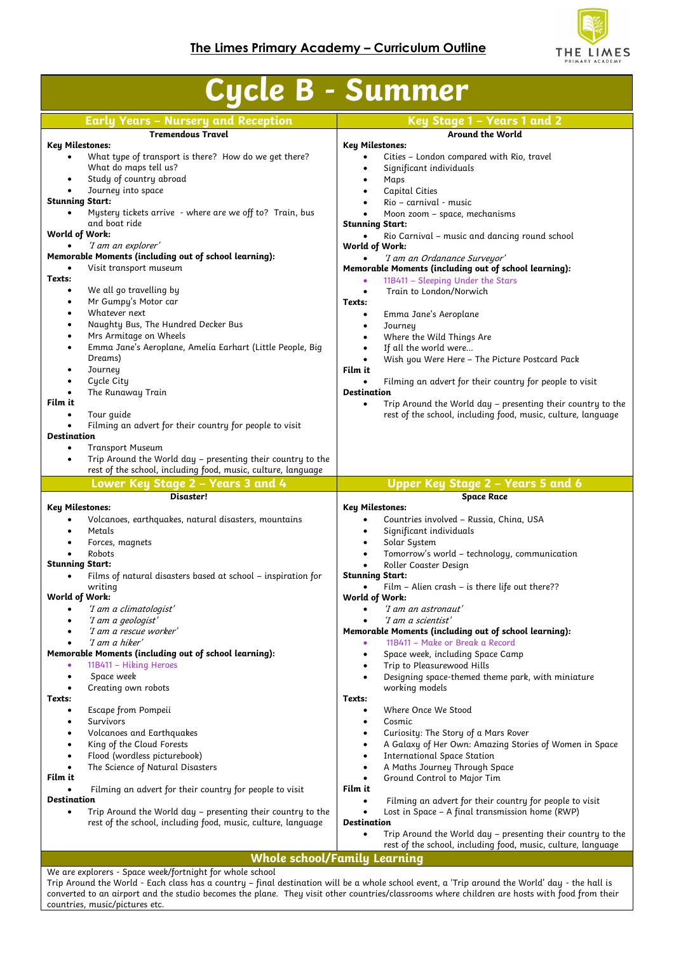

| <b>Early Years - Nursery and Reception</b><br>Key Stage 1 - Years 1 and 2<br><b>Around the World</b><br><b>Tremendous Travel</b><br><b>Key Milestones:</b><br>Key Milestones:<br>What type of transport is there? How do we get there?<br>Cities - London compared with Rio, travel<br>$\bullet$<br>What do maps tell us?<br>Significant individuals<br>٠<br>Study of country abroad<br>Maps<br>$\bullet$<br>Journey into space<br>Capital Cities<br>$\bullet$<br><b>Stunning Start:</b><br>Rio - carnival - music<br>$\bullet$<br>Mystery tickets arrive - where are we off to? Train, bus<br>Moon zoom - space, mechanisms<br>$\bullet$ |  |
|-------------------------------------------------------------------------------------------------------------------------------------------------------------------------------------------------------------------------------------------------------------------------------------------------------------------------------------------------------------------------------------------------------------------------------------------------------------------------------------------------------------------------------------------------------------------------------------------------------------------------------------------|--|
|                                                                                                                                                                                                                                                                                                                                                                                                                                                                                                                                                                                                                                           |  |
|                                                                                                                                                                                                                                                                                                                                                                                                                                                                                                                                                                                                                                           |  |
|                                                                                                                                                                                                                                                                                                                                                                                                                                                                                                                                                                                                                                           |  |
|                                                                                                                                                                                                                                                                                                                                                                                                                                                                                                                                                                                                                                           |  |
|                                                                                                                                                                                                                                                                                                                                                                                                                                                                                                                                                                                                                                           |  |
|                                                                                                                                                                                                                                                                                                                                                                                                                                                                                                                                                                                                                                           |  |
|                                                                                                                                                                                                                                                                                                                                                                                                                                                                                                                                                                                                                                           |  |
| and boat ride<br><b>Stunning Start:</b><br>World of Work:                                                                                                                                                                                                                                                                                                                                                                                                                                                                                                                                                                                 |  |
| Rio Carnival - music and dancing round school<br>'I am an explorer'<br>World of Work:                                                                                                                                                                                                                                                                                                                                                                                                                                                                                                                                                     |  |
| Memorable Moments (including out of school learning):<br>'I am an Ordanance Surveyor'                                                                                                                                                                                                                                                                                                                                                                                                                                                                                                                                                     |  |
| Visit transport museum<br>Memorable Moments (including out of school learning):<br>Texts:                                                                                                                                                                                                                                                                                                                                                                                                                                                                                                                                                 |  |
| 11B411 - Sleeping Under the Stars<br>٠<br>We all go travelling by<br>$\bullet$<br>Train to London/Norwich<br>$\bullet$                                                                                                                                                                                                                                                                                                                                                                                                                                                                                                                    |  |
| Mr Gumpy's Motor car<br>$\bullet$<br>Texts:                                                                                                                                                                                                                                                                                                                                                                                                                                                                                                                                                                                               |  |
| Whatever next<br>$\bullet$<br>Emma Jane's Aeroplane<br>$\bullet$                                                                                                                                                                                                                                                                                                                                                                                                                                                                                                                                                                          |  |
| Naughty Bus, The Hundred Decker Bus<br>٠<br>Journey<br>$\bullet$<br>Mrs Armitage on Wheels<br>Where the Wild Things Are<br>$\bullet$<br>$\bullet$                                                                                                                                                                                                                                                                                                                                                                                                                                                                                         |  |
| Emma Jane's Aeroplane, Amelia Earhart (Little People, Big<br>If all the world were<br>$\bullet$                                                                                                                                                                                                                                                                                                                                                                                                                                                                                                                                           |  |
| Dreams)<br>Wish you Were Here - The Picture Postcard Pack<br>$\bullet$                                                                                                                                                                                                                                                                                                                                                                                                                                                                                                                                                                    |  |
| Journey<br>Film it<br>$\bullet$<br>Cycle City<br>$\bullet$<br>Filming an advert for their country for people to visit                                                                                                                                                                                                                                                                                                                                                                                                                                                                                                                     |  |
| The Runaway Train<br><b>Destination</b>                                                                                                                                                                                                                                                                                                                                                                                                                                                                                                                                                                                                   |  |
| Film it<br>Trip Around the World day - presenting their country to the<br>$\bullet$                                                                                                                                                                                                                                                                                                                                                                                                                                                                                                                                                       |  |
| Tour guide<br>rest of the school, including food, music, culture, language<br>Filming an advert for their country for people to visit                                                                                                                                                                                                                                                                                                                                                                                                                                                                                                     |  |
| <b>Destination</b>                                                                                                                                                                                                                                                                                                                                                                                                                                                                                                                                                                                                                        |  |
| <b>Transport Museum</b><br>$\bullet$<br>Trip Around the World day - presenting their country to the                                                                                                                                                                                                                                                                                                                                                                                                                                                                                                                                       |  |
| $\bullet$<br>rest of the school, including food, music, culture, language                                                                                                                                                                                                                                                                                                                                                                                                                                                                                                                                                                 |  |
| Upper Key Stage 2 - Years 5 and 6<br>Lower Key Stage 2 - Years 3 and 4                                                                                                                                                                                                                                                                                                                                                                                                                                                                                                                                                                    |  |
| Disaster!<br><b>Space Race</b><br><b>Key Milestones:</b><br><b>Key Milestones:</b>                                                                                                                                                                                                                                                                                                                                                                                                                                                                                                                                                        |  |
|                                                                                                                                                                                                                                                                                                                                                                                                                                                                                                                                                                                                                                           |  |
| Volcanoes, earthquakes, natural disasters, mountains<br>Countries involved - Russia, China, USA<br>$\bullet$                                                                                                                                                                                                                                                                                                                                                                                                                                                                                                                              |  |
| Significant individuals<br>Metals<br>$\bullet$                                                                                                                                                                                                                                                                                                                                                                                                                                                                                                                                                                                            |  |
| Solar System<br>Forces, magnets<br>$\bullet$                                                                                                                                                                                                                                                                                                                                                                                                                                                                                                                                                                                              |  |
| Tomorrow's world - technology, communication<br>Robots<br>$\bullet$<br><b>Stunning Start:</b>                                                                                                                                                                                                                                                                                                                                                                                                                                                                                                                                             |  |
| Roller Coaster Design<br>Films of natural disasters based at school - inspiration for<br><b>Stunning Start:</b><br>$\bullet$                                                                                                                                                                                                                                                                                                                                                                                                                                                                                                              |  |
| writing<br>Film - Alien crash - is there life out there??                                                                                                                                                                                                                                                                                                                                                                                                                                                                                                                                                                                 |  |
| World of Work:<br>World of Work:<br>'I am a climatologist'<br>'I am an astronaut'                                                                                                                                                                                                                                                                                                                                                                                                                                                                                                                                                         |  |
| 'I am a geologist'<br>'I am a scientist'                                                                                                                                                                                                                                                                                                                                                                                                                                                                                                                                                                                                  |  |
| 'I am a rescue worker'<br>Memorable Moments (including out of school learning):                                                                                                                                                                                                                                                                                                                                                                                                                                                                                                                                                           |  |
| 'I am a hiker'<br>11B411 - Make or Break a Record<br>Memorable Moments (including out of school learning):<br>Space week, including Space Camp<br>$\bullet$                                                                                                                                                                                                                                                                                                                                                                                                                                                                               |  |
| 11B411 - Hiking Heroes<br>Trip to Pleasurewood Hills<br>۰<br>٠                                                                                                                                                                                                                                                                                                                                                                                                                                                                                                                                                                            |  |
| Space week<br>Designing space-themed theme park, with miniature<br>$\bullet$                                                                                                                                                                                                                                                                                                                                                                                                                                                                                                                                                              |  |
| Creating own robots<br>working models<br>Texts:<br>Texts:                                                                                                                                                                                                                                                                                                                                                                                                                                                                                                                                                                                 |  |
| Where Once We Stood<br>Escape from Pompeii<br>$\bullet$<br>٠                                                                                                                                                                                                                                                                                                                                                                                                                                                                                                                                                                              |  |
| <b>Survivors</b><br>Cosmic<br>٠                                                                                                                                                                                                                                                                                                                                                                                                                                                                                                                                                                                                           |  |
| Volcanoes and Earthquakes<br>Curiosity: The Story of a Mars Rover<br>٠<br>King of the Cloud Forests<br>A Galaxy of Her Own: Amazing Stories of Women in Space<br>$\bullet$                                                                                                                                                                                                                                                                                                                                                                                                                                                                |  |
| Flood (wordless picturebook)<br><b>International Space Station</b><br>$\bullet$                                                                                                                                                                                                                                                                                                                                                                                                                                                                                                                                                           |  |
| The Science of Natural Disasters<br>A Maths Journey Through Space<br>٠                                                                                                                                                                                                                                                                                                                                                                                                                                                                                                                                                                    |  |
| Film it<br>Ground Control to Major Tim<br>$\bullet$<br>Filming an advert for their country for people to visit<br>Film it                                                                                                                                                                                                                                                                                                                                                                                                                                                                                                                 |  |
| <b>Destination</b><br>Filming an advert for their country for people to visit<br>$\bullet$                                                                                                                                                                                                                                                                                                                                                                                                                                                                                                                                                |  |
| Trip Around the World day - presenting their country to the<br>Lost in Space - A final transmission home (RWP)<br>$\bullet$<br>$\bullet$                                                                                                                                                                                                                                                                                                                                                                                                                                                                                                  |  |
| rest of the school, including food, music, culture, language<br><b>Destination</b><br>Trip Around the World day – presenting their country to the<br>$\bullet$                                                                                                                                                                                                                                                                                                                                                                                                                                                                            |  |
| rest of the school, including food, music, culture, language                                                                                                                                                                                                                                                                                                                                                                                                                                                                                                                                                                              |  |
| <b>Whole school/Family Learning</b><br>We are explorers - Space week/fortnight for whole school                                                                                                                                                                                                                                                                                                                                                                                                                                                                                                                                           |  |

countries, music/pictures etc.